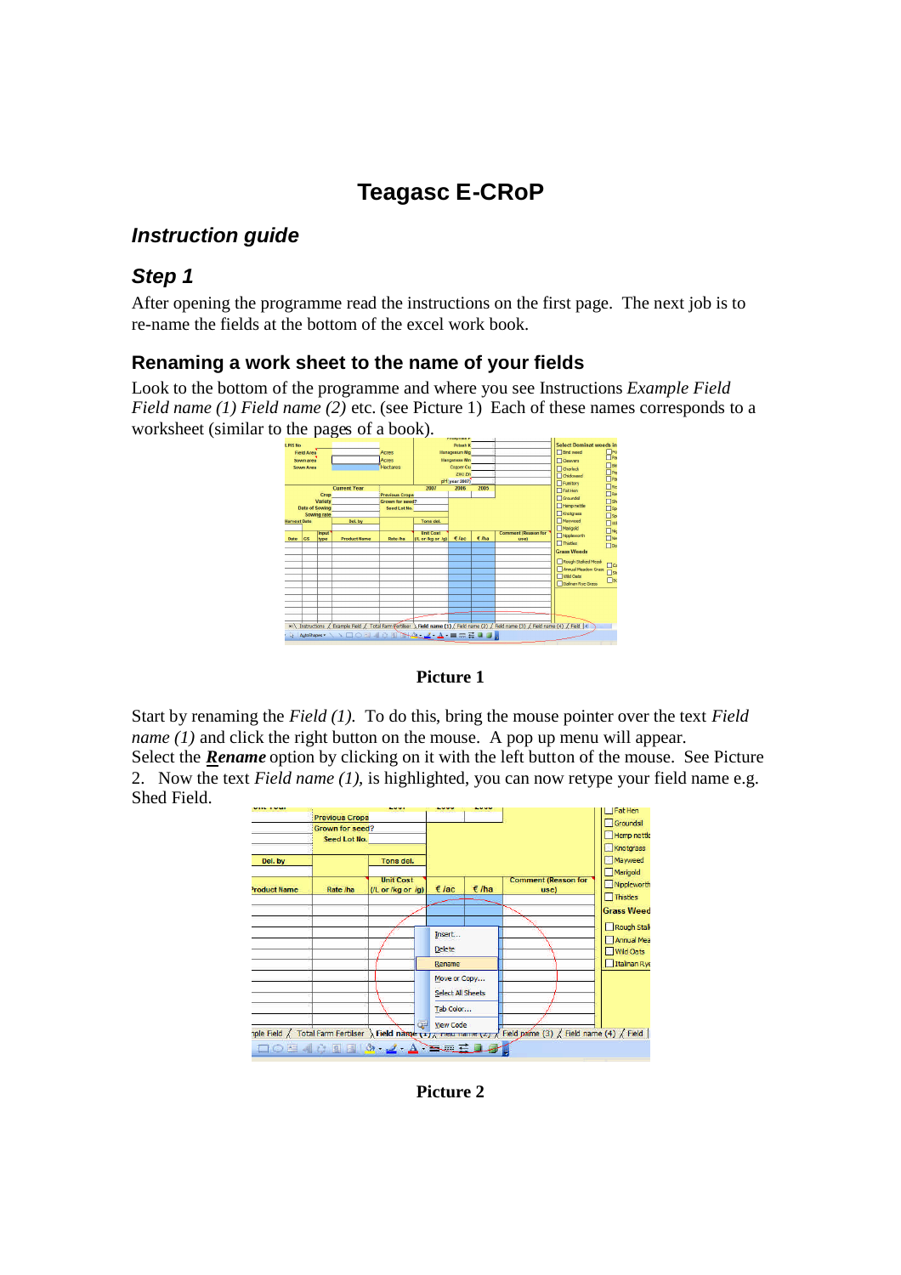# **Teagasc E-CRoP**

## *Instruction guide*

## *Step 1*

After opening the programme read the instructions on the first page. The next job is to re-name the fields at the bottom of the excel work book.

## **Renaming a work sheet to the name of your fields**

Look to the bottom of the programme and where you see Instructions *Example Field Field name (1) Field name (2)* etc. (see Picture 1) Each of these names corresponds to a worksheet (similar to the pages of a book).



#### **Picture 1**

Start by renaming the *Field (1).* To do this, bring the mouse pointer over the text *Field name (1)* and click the right button on the mouse. A pop up menu will appear. Select the *Rename* option by clicking on it with the left button of the mouse. See Picture 2. Now the text *Field name (1),* is highlighted, you can now retype your field name e.g. Shed Field.



**Picture 2**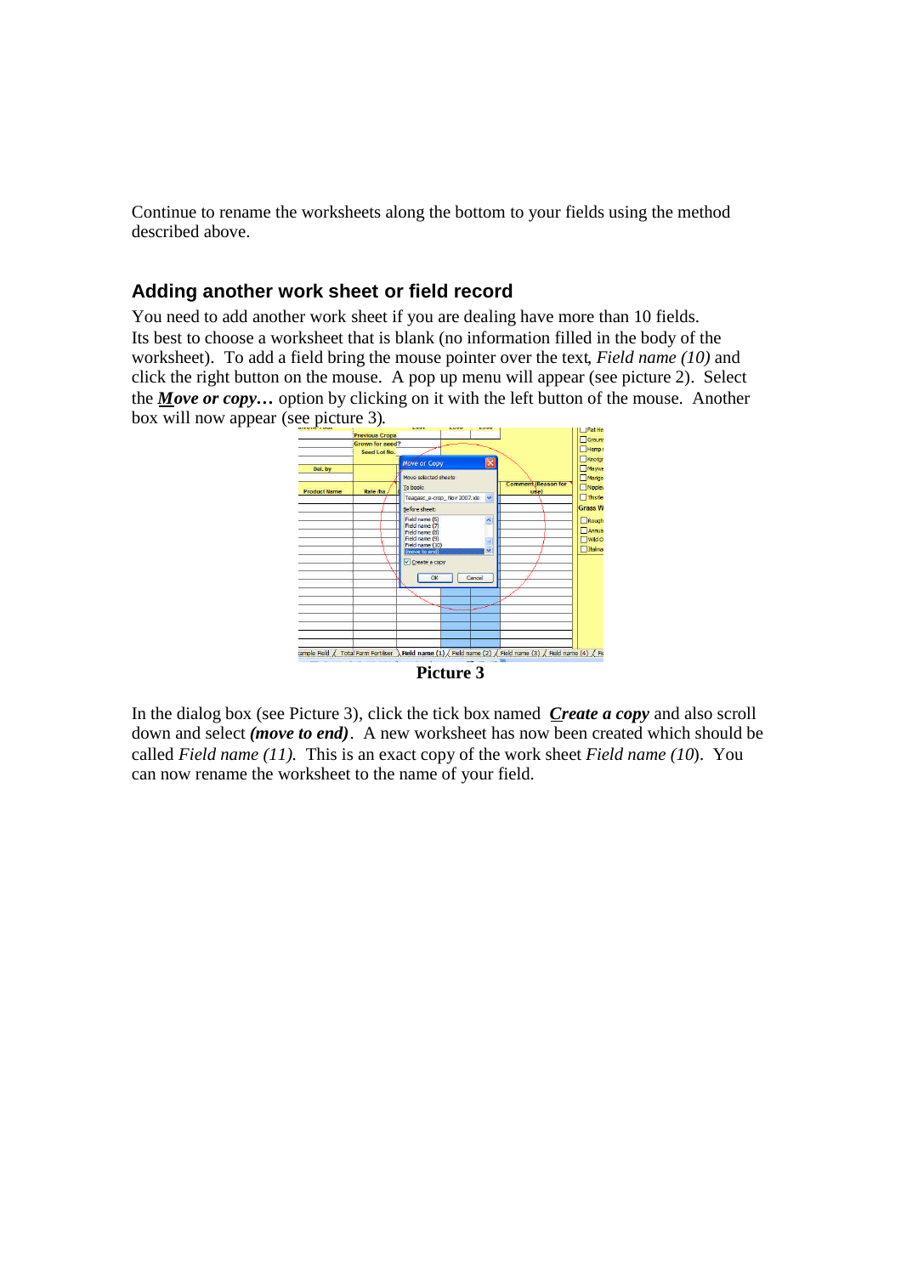Continue to rename the worksheets along the bottom to your fields using the method described above.

### **Adding another work sheet or field record**

You need to add another work sheet if you are dealing have more than 10 fields. Its best to choose a worksheet that is blank (no information filled in the body of the worksheet). To add a field bring the mouse pointer over the text, *Field name (10)* and click the right button on the mouse. A pop up menu will appear (see picture 2). Select the *Move or copy…* option by clicking on it with the left button of the mouse. Another box will now appear (see picture 3).



In the dialog box (see Picture 3), click the tick box named *Create a copy* and also scroll down and select *(move to end)*. A new worksheet has now been created which should be called *Field name (11).* This is an exact copy of the work sheet *Field name (10*). You can now rename the worksheet to the name of your field.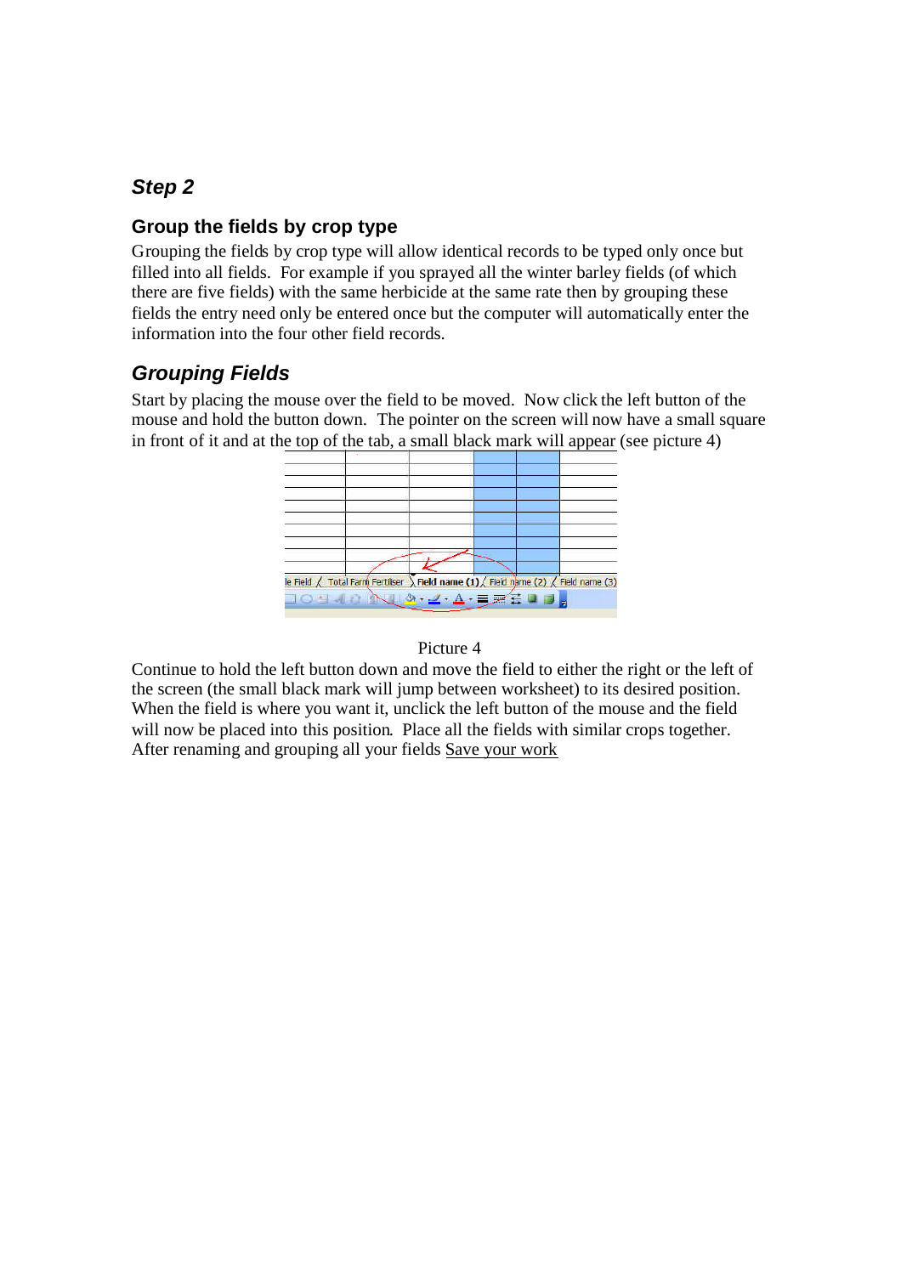# *Step 2*

## **Group the fields by crop type**

Grouping the fields by crop type will allow identical records to be typed only once but filled into all fields. For example if you sprayed all the winter barley fields (of which there are five fields) with the same herbicide at the same rate then by grouping these fields the entry need only be entered once but the computer will automatically enter the information into the four other field records.

# *Grouping Fields*

Start by placing the mouse over the field to be moved. Now click the left button of the mouse and hold the button down. The pointer on the screen will now have a small square in front of it and at the top of the tab, a small black mark will appear (see picture 4)



### Picture 4

Continue to hold the left button down and move the field to either the right or the left of the screen (the small black mark will jump between worksheet) to its desired position. When the field is where you want it, unclick the left button of the mouse and the field will now be placed into this position. Place all the fields with similar crops together. After renaming and grouping all your fields Save your work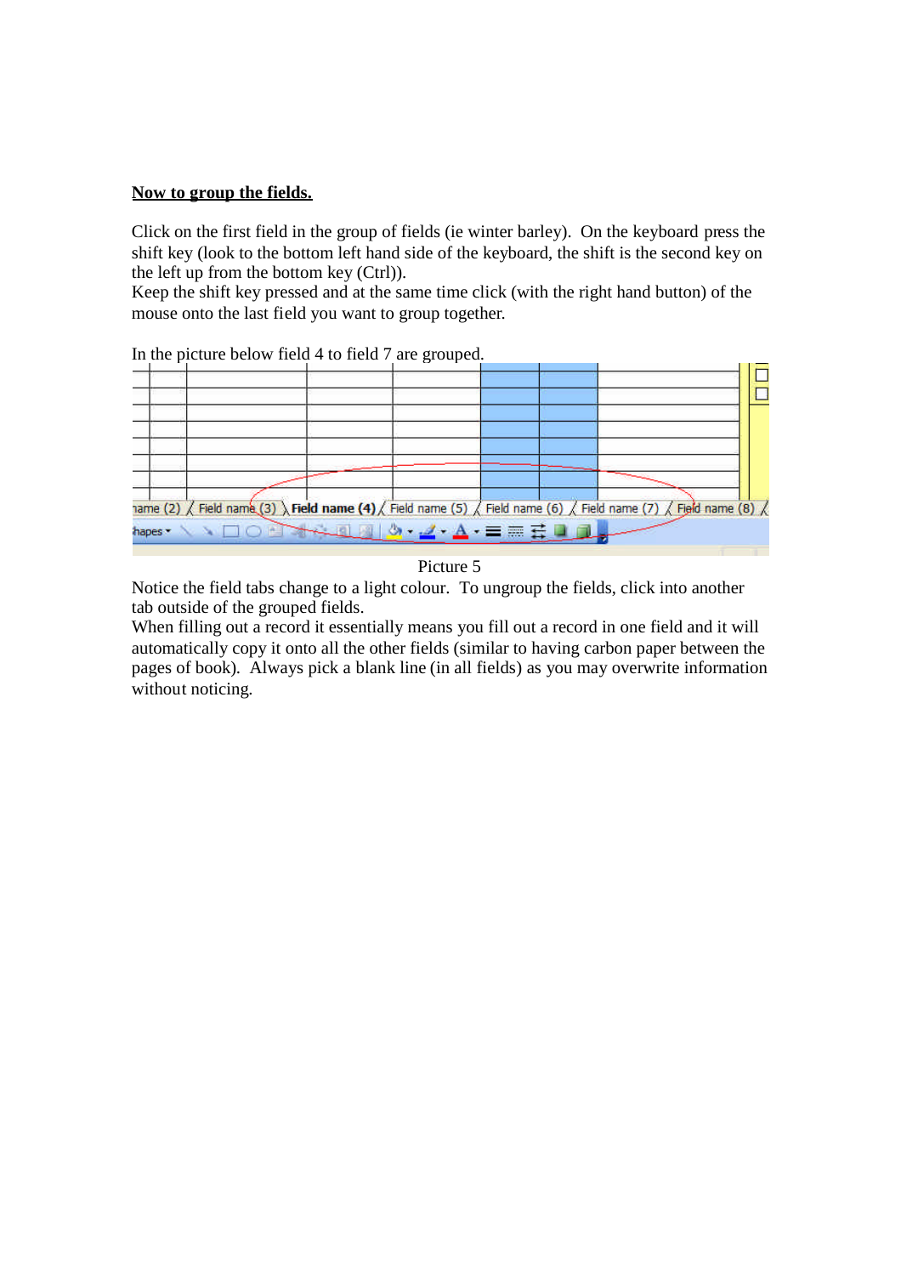#### **Now to group the fields.**

Click on the first field in the group of fields (ie winter barley). On the keyboard press the shift key (look to the bottom left hand side of the keyboard, the shift is the second key on the left up from the bottom key (Ctrl)).

Keep the shift key pressed and at the same time click (with the right hand button) of the mouse onto the last field you want to group together.



In the picture below field 4 to field 7 are grouped.



Notice the field tabs change to a light colour. To ungroup the fields, click into another tab outside of the grouped fields.

When filling out a record it essentially means you fill out a record in one field and it will automatically copy it onto all the other fields (similar to having carbon paper between the pages of book). Always pick a blank line (in all fields) as you may overwrite information without noticing.